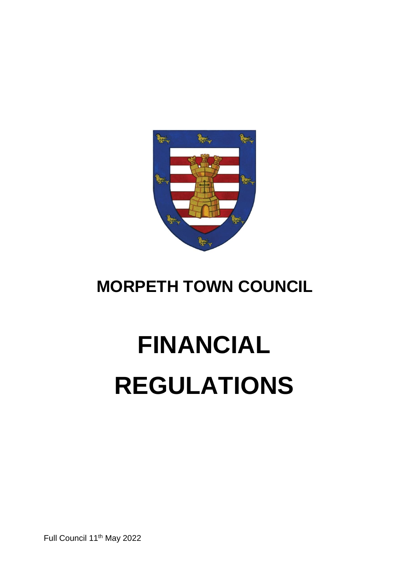

# **MORPETH TOWN COUNCIL**

# **FINANCIAL REGULATIONS**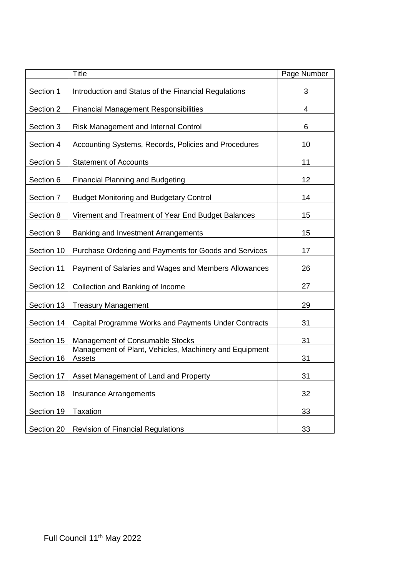|            | <b>Title</b>                                                     | Page Number |
|------------|------------------------------------------------------------------|-------------|
| Section 1  | Introduction and Status of the Financial Regulations             | 3           |
| Section 2  | <b>Financial Management Responsibilities</b>                     | 4           |
| Section 3  | Risk Management and Internal Control                             | 6           |
| Section 4  | Accounting Systems, Records, Policies and Procedures             | 10          |
| Section 5  | <b>Statement of Accounts</b>                                     | 11          |
| Section 6  | <b>Financial Planning and Budgeting</b>                          | 12          |
| Section 7  | <b>Budget Monitoring and Budgetary Control</b>                   | 14          |
| Section 8  | Virement and Treatment of Year End Budget Balances               | 15          |
| Section 9  | Banking and Investment Arrangements                              | 15          |
| Section 10 | Purchase Ordering and Payments for Goods and Services            | 17          |
| Section 11 | Payment of Salaries and Wages and Members Allowances             | 26          |
| Section 12 | Collection and Banking of Income                                 | 27          |
| Section 13 | <b>Treasury Management</b>                                       | 29          |
| Section 14 | Capital Programme Works and Payments Under Contracts             | 31          |
| Section 15 | Management of Consumable Stocks                                  | 31          |
| Section 16 | Management of Plant, Vehicles, Machinery and Equipment<br>Assets | 31          |
| Section 17 | Asset Management of Land and Property                            | 31          |
| Section 18 | <b>Insurance Arrangements</b>                                    | 32          |
| Section 19 | <b>Taxation</b>                                                  | 33          |
| Section 20 | <b>Revision of Financial Regulations</b>                         | 33          |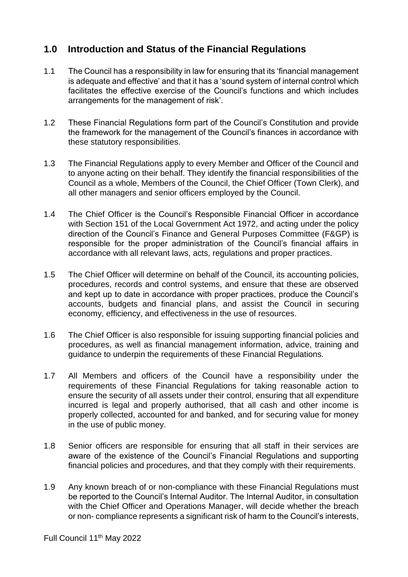# **1.0 Introduction and Status of the Financial Regulations**

- 1.1 The Council has a responsibility in law for ensuring that its 'financial management is adequate and effective' and that it has a 'sound system of internal control which facilitates the effective exercise of the Council's functions and which includes arrangements for the management of risk'.
- 1.2 These Financial Regulations form part of the Council's Constitution and provide the framework for the management of the Council's finances in accordance with these statutory responsibilities.
- 1.3 The Financial Regulations apply to every Member and Officer of the Council and to anyone acting on their behalf. They identify the financial responsibilities of the Council as a whole, Members of the Council, the Chief Officer (Town Clerk), and all other managers and senior officers employed by the Council.
- 1.4 The Chief Officer is the Council's Responsible Financial Officer in accordance with Section 151 of the Local Government Act 1972, and acting under the policy direction of the Council's Finance and General Purposes Committee (F&GP) is responsible for the proper administration of the Council's financial affairs in accordance with all relevant laws, acts, regulations and proper practices.
- 1.5 The Chief Officer will determine on behalf of the Council, its accounting policies, procedures, records and control systems, and ensure that these are observed and kept up to date in accordance with proper practices, produce the Council's accounts, budgets and financial plans, and assist the Council in securing economy, efficiency, and effectiveness in the use of resources.
- 1.6 The Chief Officer is also responsible for issuing supporting financial policies and procedures, as well as financial management information, advice, training and guidance to underpin the requirements of these Financial Regulations.
- 1.7 All Members and officers of the Council have a responsibility under the requirements of these Financial Regulations for taking reasonable action to ensure the security of all assets under their control, ensuring that all expenditure incurred is legal and properly authorised, that all cash and other income is properly collected, accounted for and banked, and for securing value for money in the use of public money.
- 1.8 Senior officers are responsible for ensuring that all staff in their services are aware of the existence of the Council's Financial Regulations and supporting financial policies and procedures, and that they comply with their requirements.
- 1.9 Any known breach of or non-compliance with these Financial Regulations must be reported to the Council's Internal Auditor. The Internal Auditor, in consultation with the Chief Officer and Operations Manager, will decide whether the breach or non- compliance represents a significant risk of harm to the Council's interests,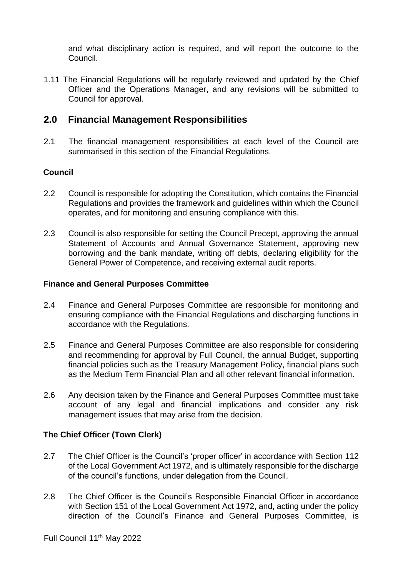and what disciplinary action is required, and will report the outcome to the Council.

1.11 The Financial Regulations will be regularly reviewed and updated by the Chief Officer and the Operations Manager, and any revisions will be submitted to Council for approval.

# **2.0 Financial Management Responsibilities**

2.1 The financial management responsibilities at each level of the Council are summarised in this section of the Financial Regulations.

#### **Council**

- 2.2 Council is responsible for adopting the Constitution, which contains the Financial Regulations and provides the framework and guidelines within which the Council operates, and for monitoring and ensuring compliance with this.
- 2.3 Council is also responsible for setting the Council Precept, approving the annual Statement of Accounts and Annual Governance Statement, approving new borrowing and the bank mandate, writing off debts, declaring eligibility for the General Power of Competence, and receiving external audit reports.

#### **Finance and General Purposes Committee**

- 2.4 Finance and General Purposes Committee are responsible for monitoring and ensuring compliance with the Financial Regulations and discharging functions in accordance with the Regulations.
- 2.5 Finance and General Purposes Committee are also responsible for considering and recommending for approval by Full Council, the annual Budget, supporting financial policies such as the Treasury Management Policy, financial plans such as the Medium Term Financial Plan and all other relevant financial information.
- 2.6 Any decision taken by the Finance and General Purposes Committee must take account of any legal and financial implications and consider any risk management issues that may arise from the decision.

#### **The Chief Officer (Town Clerk)**

- 2.7 The Chief Officer is the Council's 'proper officer' in accordance with Section 112 of the Local Government Act 1972, and is ultimately responsible for the discharge of the council's functions, under delegation from the Council.
- 2.8 The Chief Officer is the Council's Responsible Financial Officer in accordance with Section 151 of the Local Government Act 1972, and, acting under the policy direction of the Council's Finance and General Purposes Committee, is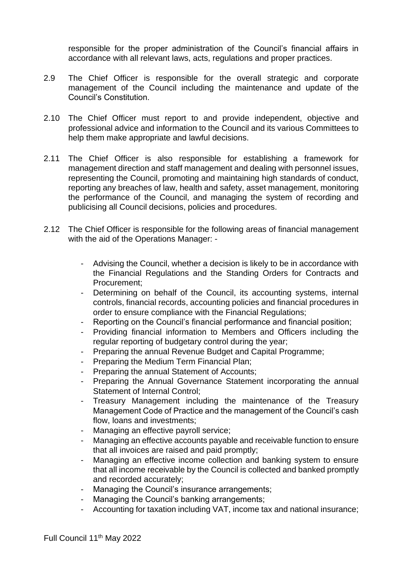responsible for the proper administration of the Council's financial affairs in accordance with all relevant laws, acts, regulations and proper practices.

- 2.9 The Chief Officer is responsible for the overall strategic and corporate management of the Council including the maintenance and update of the Council's Constitution.
- 2.10 The Chief Officer must report to and provide independent, objective and professional advice and information to the Council and its various Committees to help them make appropriate and lawful decisions.
- 2.11 The Chief Officer is also responsible for establishing a framework for management direction and staff management and dealing with personnel issues, representing the Council, promoting and maintaining high standards of conduct, reporting any breaches of law, health and safety, asset management, monitoring the performance of the Council, and managing the system of recording and publicising all Council decisions, policies and procedures.
- 2.12 The Chief Officer is responsible for the following areas of financial management with the aid of the Operations Manager: -
	- Advising the Council, whether a decision is likely to be in accordance with the Financial Regulations and the Standing Orders for Contracts and Procurement;
	- Determining on behalf of the Council, its accounting systems, internal controls, financial records, accounting policies and financial procedures in order to ensure compliance with the Financial Regulations;
	- Reporting on the Council's financial performance and financial position;
	- Providing financial information to Members and Officers including the regular reporting of budgetary control during the year;
	- Preparing the annual Revenue Budget and Capital Programme;
	- Preparing the Medium Term Financial Plan;
	- Preparing the annual Statement of Accounts;
	- Preparing the Annual Governance Statement incorporating the annual Statement of Internal Control;
	- Treasury Management including the maintenance of the Treasury Management Code of Practice and the management of the Council's cash flow, loans and investments;
	- Managing an effective payroll service;
	- Managing an effective accounts payable and receivable function to ensure that all invoices are raised and paid promptly;
	- Managing an effective income collection and banking system to ensure that all income receivable by the Council is collected and banked promptly and recorded accurately;
	- Managing the Council's insurance arrangements;
	- Managing the Council's banking arrangements;
	- Accounting for taxation including VAT, income tax and national insurance;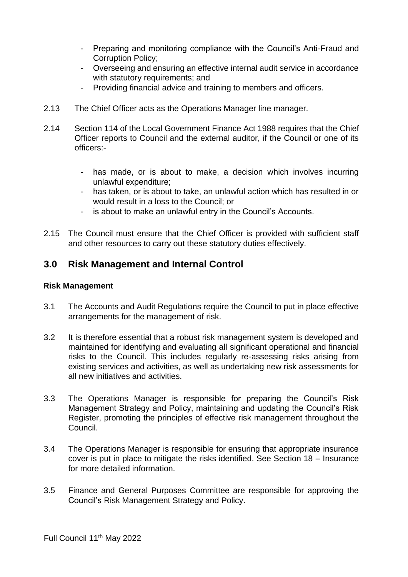- Preparing and monitoring compliance with the Council's Anti-Fraud and Corruption Policy;
- Overseeing and ensuring an effective internal audit service in accordance with statutory requirements; and
- Providing financial advice and training to members and officers.
- 2.13 The Chief Officer acts as the Operations Manager line manager.
- 2.14 Section 114 of the Local Government Finance Act 1988 requires that the Chief Officer reports to Council and the external auditor, if the Council or one of its officers:
	- has made, or is about to make, a decision which involves incurring unlawful expenditure;
	- has taken, or is about to take, an unlawful action which has resulted in or would result in a loss to the Council; or
	- is about to make an unlawful entry in the Council's Accounts.
- 2.15 The Council must ensure that the Chief Officer is provided with sufficient staff and other resources to carry out these statutory duties effectively.

# **3.0 Risk Management and Internal Control**

#### **Risk Management**

- 3.1 The Accounts and Audit Regulations require the Council to put in place effective arrangements for the management of risk.
- 3.2 It is therefore essential that a robust risk management system is developed and maintained for identifying and evaluating all significant operational and financial risks to the Council. This includes regularly re-assessing risks arising from existing services and activities, as well as undertaking new risk assessments for all new initiatives and activities.
- 3.3 The Operations Manager is responsible for preparing the Council's Risk Management Strategy and Policy, maintaining and updating the Council's Risk Register, promoting the principles of effective risk management throughout the Council.
- 3.4 The Operations Manager is responsible for ensuring that appropriate insurance cover is put in place to mitigate the risks identified. See Section 18 – Insurance for more detailed information.
- 3.5 Finance and General Purposes Committee are responsible for approving the Council's Risk Management Strategy and Policy.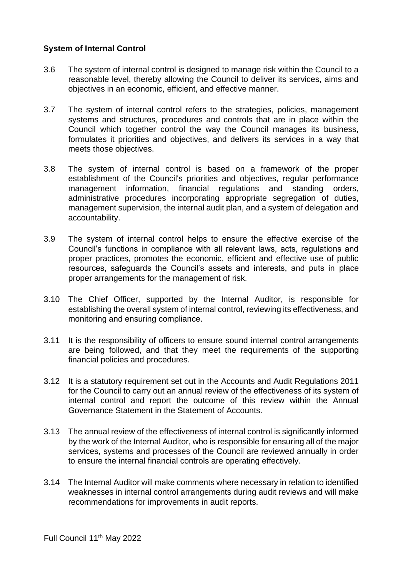#### **System of Internal Control**

- 3.6 The system of internal control is designed to manage risk within the Council to a reasonable level, thereby allowing the Council to deliver its services, aims and objectives in an economic, efficient, and effective manner.
- 3.7 The system of internal control refers to the strategies, policies, management systems and structures, procedures and controls that are in place within the Council which together control the way the Council manages its business, formulates it priorities and objectives, and delivers its services in a way that meets those objectives.
- 3.8 The system of internal control is based on a framework of the proper establishment of the Council's priorities and objectives, regular performance management information, financial regulations and standing orders, administrative procedures incorporating appropriate segregation of duties, management supervision, the internal audit plan, and a system of delegation and accountability.
- 3.9 The system of internal control helps to ensure the effective exercise of the Council's functions in compliance with all relevant laws, acts, regulations and proper practices, promotes the economic, efficient and effective use of public resources, safeguards the Council's assets and interests, and puts in place proper arrangements for the management of risk.
- 3.10 The Chief Officer, supported by the Internal Auditor, is responsible for establishing the overall system of internal control, reviewing its effectiveness, and monitoring and ensuring compliance.
- 3.11 It is the responsibility of officers to ensure sound internal control arrangements are being followed, and that they meet the requirements of the supporting financial policies and procedures.
- 3.12 It is a statutory requirement set out in the Accounts and Audit Regulations 2011 for the Council to carry out an annual review of the effectiveness of its system of internal control and report the outcome of this review within the Annual Governance Statement in the Statement of Accounts.
- 3.13 The annual review of the effectiveness of internal control is significantly informed by the work of the Internal Auditor, who is responsible for ensuring all of the major services, systems and processes of the Council are reviewed annually in order to ensure the internal financial controls are operating effectively.
- 3.14 The Internal Auditor will make comments where necessary in relation to identified weaknesses in internal control arrangements during audit reviews and will make recommendations for improvements in audit reports.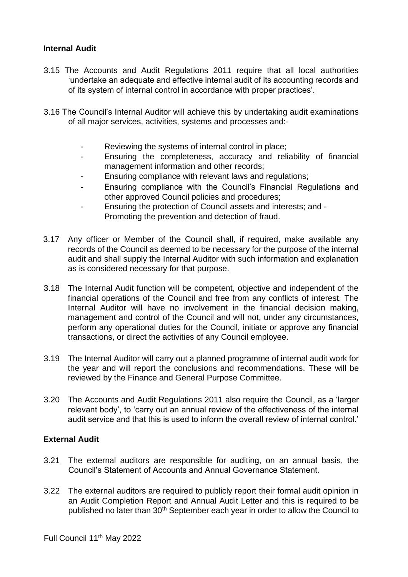#### **Internal Audit**

- 3.15 The Accounts and Audit Regulations 2011 require that all local authorities 'undertake an adequate and effective internal audit of its accounting records and of its system of internal control in accordance with proper practices'.
- 3.16 The Council's Internal Auditor will achieve this by undertaking audit examinations of all major services, activities, systems and processes and:-
	- Reviewing the systems of internal control in place;
	- Ensuring the completeness, accuracy and reliability of financial management information and other records;
	- Ensuring compliance with relevant laws and regulations;
	- Ensuring compliance with the Council's Financial Regulations and other approved Council policies and procedures;
	- Ensuring the protection of Council assets and interests; and Promoting the prevention and detection of fraud.
- 3.17 Any officer or Member of the Council shall, if required, make available any records of the Council as deemed to be necessary for the purpose of the internal audit and shall supply the Internal Auditor with such information and explanation as is considered necessary for that purpose.
- 3.18 The Internal Audit function will be competent, objective and independent of the financial operations of the Council and free from any conflicts of interest. The Internal Auditor will have no involvement in the financial decision making, management and control of the Council and will not, under any circumstances, perform any operational duties for the Council, initiate or approve any financial transactions, or direct the activities of any Council employee.
- 3.19 The Internal Auditor will carry out a planned programme of internal audit work for the year and will report the conclusions and recommendations. These will be reviewed by the Finance and General Purpose Committee.
- 3.20 The Accounts and Audit Regulations 2011 also require the Council, as a 'larger relevant body', to 'carry out an annual review of the effectiveness of the internal audit service and that this is used to inform the overall review of internal control.'

#### **External Audit**

- 3.21 The external auditors are responsible for auditing, on an annual basis, the Council's Statement of Accounts and Annual Governance Statement.
- 3.22 The external auditors are required to publicly report their formal audit opinion in an Audit Completion Report and Annual Audit Letter and this is required to be published no later than 30<sup>th</sup> September each year in order to allow the Council to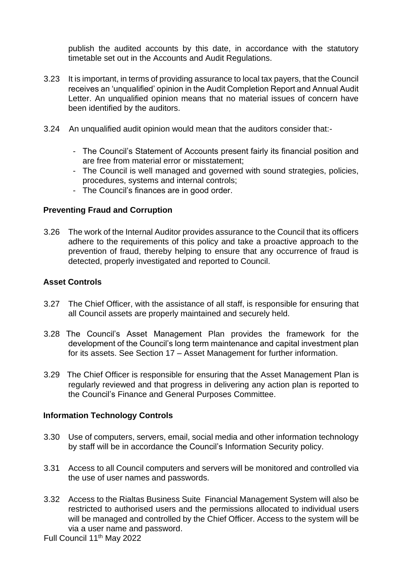publish the audited accounts by this date, in accordance with the statutory timetable set out in the Accounts and Audit Regulations.

- 3.23 It is important, in terms of providing assurance to local tax payers, that the Council receives an 'unqualified' opinion in the Audit Completion Report and Annual Audit Letter. An unqualified opinion means that no material issues of concern have been identified by the auditors.
- 3.24 An unqualified audit opinion would mean that the auditors consider that:-
	- The Council's Statement of Accounts present fairly its financial position and are free from material error or misstatement;
	- The Council is well managed and governed with sound strategies, policies, procedures, systems and internal controls;
	- The Council's finances are in good order.

#### **Preventing Fraud and Corruption**

3.26 The work of the Internal Auditor provides assurance to the Council that its officers adhere to the requirements of this policy and take a proactive approach to the prevention of fraud, thereby helping to ensure that any occurrence of fraud is detected, properly investigated and reported to Council.

#### **Asset Controls**

- 3.27 The Chief Officer, with the assistance of all staff, is responsible for ensuring that all Council assets are properly maintained and securely held.
- 3.28 The Council's Asset Management Plan provides the framework for the development of the Council's long term maintenance and capital investment plan for its assets. See Section 17 – Asset Management for further information.
- 3.29 The Chief Officer is responsible for ensuring that the Asset Management Plan is regularly reviewed and that progress in delivering any action plan is reported to the Council's Finance and General Purposes Committee.

#### **Information Technology Controls**

- 3.30 Use of computers, servers, email, social media and other information technology by staff will be in accordance the Council's Information Security policy.
- 3.31 Access to all Council computers and servers will be monitored and controlled via the use of user names and passwords.
- 3.32 Access to the Rialtas Business Suite Financial Management System will also be restricted to authorised users and the permissions allocated to individual users will be managed and controlled by the Chief Officer. Access to the system will be via a user name and password.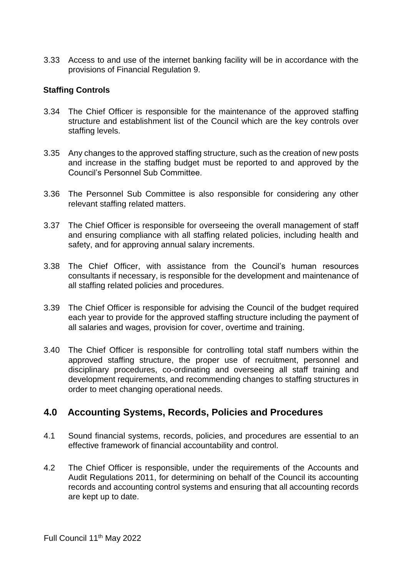3.33 Access to and use of the internet banking facility will be in accordance with the provisions of Financial Regulation 9.

#### **Staffing Controls**

- 3.34 The Chief Officer is responsible for the maintenance of the approved staffing structure and establishment list of the Council which are the key controls over staffing levels.
- 3.35 Any changes to the approved staffing structure, such as the creation of new posts and increase in the staffing budget must be reported to and approved by the Council's Personnel Sub Committee.
- 3.36 The Personnel Sub Committee is also responsible for considering any other relevant staffing related matters.
- 3.37 The Chief Officer is responsible for overseeing the overall management of staff and ensuring compliance with all staffing related policies, including health and safety, and for approving annual salary increments.
- 3.38 The Chief Officer, with assistance from the Council's human resources consultants if necessary, is responsible for the development and maintenance of all staffing related policies and procedures.
- 3.39 The Chief Officer is responsible for advising the Council of the budget required each year to provide for the approved staffing structure including the payment of all salaries and wages, provision for cover, overtime and training.
- 3.40 The Chief Officer is responsible for controlling total staff numbers within the approved staffing structure, the proper use of recruitment, personnel and disciplinary procedures, co-ordinating and overseeing all staff training and development requirements, and recommending changes to staffing structures in order to meet changing operational needs.

# **4.0 Accounting Systems, Records, Policies and Procedures**

- 4.1 Sound financial systems, records, policies, and procedures are essential to an effective framework of financial accountability and control.
- 4.2 The Chief Officer is responsible, under the requirements of the Accounts and Audit Regulations 2011, for determining on behalf of the Council its accounting records and accounting control systems and ensuring that all accounting records are kept up to date.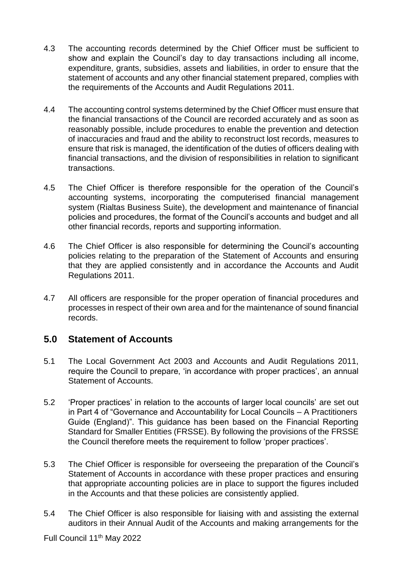- 4.3 The accounting records determined by the Chief Officer must be sufficient to show and explain the Council's day to day transactions including all income, expenditure, grants, subsidies, assets and liabilities, in order to ensure that the statement of accounts and any other financial statement prepared, complies with the requirements of the Accounts and Audit Regulations 2011.
- 4.4 The accounting control systems determined by the Chief Officer must ensure that the financial transactions of the Council are recorded accurately and as soon as reasonably possible, include procedures to enable the prevention and detection of inaccuracies and fraud and the ability to reconstruct lost records, measures to ensure that risk is managed, the identification of the duties of officers dealing with financial transactions, and the division of responsibilities in relation to significant transactions.
- 4.5 The Chief Officer is therefore responsible for the operation of the Council's accounting systems, incorporating the computerised financial management system (Rialtas Business Suite), the development and maintenance of financial policies and procedures, the format of the Council's accounts and budget and all other financial records, reports and supporting information.
- 4.6 The Chief Officer is also responsible for determining the Council's accounting policies relating to the preparation of the Statement of Accounts and ensuring that they are applied consistently and in accordance the Accounts and Audit Regulations 2011.
- 4.7 All officers are responsible for the proper operation of financial procedures and processes in respect of their own area and for the maintenance of sound financial records.

# **5.0 Statement of Accounts**

- 5.1 The Local Government Act 2003 and Accounts and Audit Regulations 2011, require the Council to prepare, 'in accordance with proper practices', an annual Statement of Accounts.
- 5.2 'Proper practices' in relation to the accounts of larger local councils' are set out in Part 4 of "Governance and Accountability for Local Councils – A Practitioners Guide (England)". This guidance has been based on the Financial Reporting Standard for Smaller Entities (FRSSE). By following the provisions of the FRSSE the Council therefore meets the requirement to follow 'proper practices'.
- 5.3 The Chief Officer is responsible for overseeing the preparation of the Council's Statement of Accounts in accordance with these proper practices and ensuring that appropriate accounting policies are in place to support the figures included in the Accounts and that these policies are consistently applied.
- 5.4 The Chief Officer is also responsible for liaising with and assisting the external auditors in their Annual Audit of the Accounts and making arrangements for the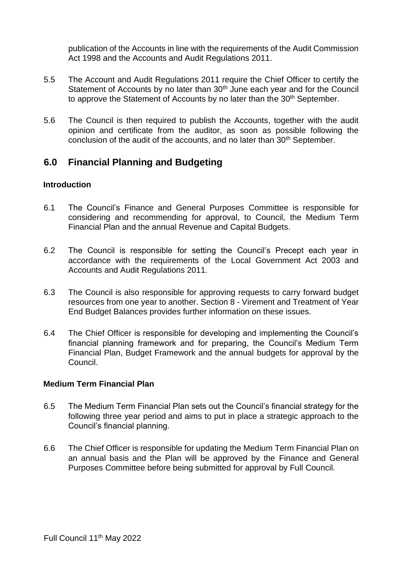publication of the Accounts in line with the requirements of the Audit Commission Act 1998 and the Accounts and Audit Regulations 2011.

- 5.5 The Account and Audit Regulations 2011 require the Chief Officer to certify the Statement of Accounts by no later than 30<sup>th</sup> June each year and for the Council to approve the Statement of Accounts by no later than the 30<sup>th</sup> September.
- 5.6 The Council is then required to publish the Accounts, together with the audit opinion and certificate from the auditor, as soon as possible following the conclusion of the audit of the accounts, and no later than 30<sup>th</sup> September.

# **6.0 Financial Planning and Budgeting**

#### **Introduction**

- 6.1 The Council's Finance and General Purposes Committee is responsible for considering and recommending for approval, to Council, the Medium Term Financial Plan and the annual Revenue and Capital Budgets.
- 6.2 The Council is responsible for setting the Council's Precept each year in accordance with the requirements of the Local Government Act 2003 and Accounts and Audit Regulations 2011.
- 6.3 The Council is also responsible for approving requests to carry forward budget resources from one year to another. Section 8 - Virement and Treatment of Year End Budget Balances provides further information on these issues.
- 6.4 The Chief Officer is responsible for developing and implementing the Council's financial planning framework and for preparing, the Council's Medium Term Financial Plan, Budget Framework and the annual budgets for approval by the Council.

#### **Medium Term Financial Plan**

- 6.5 The Medium Term Financial Plan sets out the Council's financial strategy for the following three year period and aims to put in place a strategic approach to the Council's financial planning.
- 6.6 The Chief Officer is responsible for updating the Medium Term Financial Plan on an annual basis and the Plan will be approved by the Finance and General Purposes Committee before being submitted for approval by Full Council.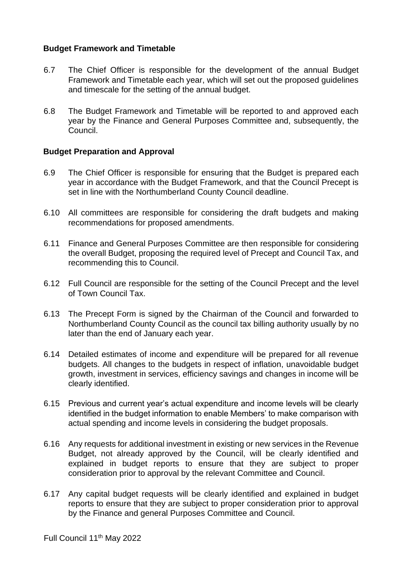#### **Budget Framework and Timetable**

- 6.7 The Chief Officer is responsible for the development of the annual Budget Framework and Timetable each year, which will set out the proposed guidelines and timescale for the setting of the annual budget.
- 6.8 The Budget Framework and Timetable will be reported to and approved each year by the Finance and General Purposes Committee and, subsequently, the Council.

#### **Budget Preparation and Approval**

- 6.9 The Chief Officer is responsible for ensuring that the Budget is prepared each year in accordance with the Budget Framework, and that the Council Precept is set in line with the Northumberland County Council deadline.
- 6.10 All committees are responsible for considering the draft budgets and making recommendations for proposed amendments.
- 6.11 Finance and General Purposes Committee are then responsible for considering the overall Budget, proposing the required level of Precept and Council Tax, and recommending this to Council.
- 6.12 Full Council are responsible for the setting of the Council Precept and the level of Town Council Tax.
- 6.13 The Precept Form is signed by the Chairman of the Council and forwarded to Northumberland County Council as the council tax billing authority usually by no later than the end of January each year.
- 6.14 Detailed estimates of income and expenditure will be prepared for all revenue budgets. All changes to the budgets in respect of inflation, unavoidable budget growth, investment in services, efficiency savings and changes in income will be clearly identified.
- 6.15 Previous and current year's actual expenditure and income levels will be clearly identified in the budget information to enable Members' to make comparison with actual spending and income levels in considering the budget proposals.
- 6.16 Any requests for additional investment in existing or new services in the Revenue Budget, not already approved by the Council, will be clearly identified and explained in budget reports to ensure that they are subject to proper consideration prior to approval by the relevant Committee and Council.
- 6.17 Any capital budget requests will be clearly identified and explained in budget reports to ensure that they are subject to proper consideration prior to approval by the Finance and general Purposes Committee and Council.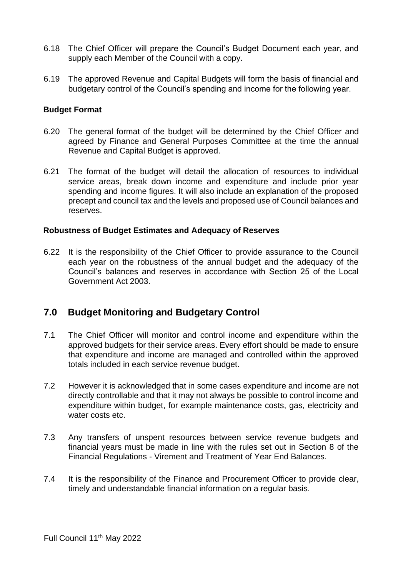- 6.18 The Chief Officer will prepare the Council's Budget Document each year, and supply each Member of the Council with a copy.
- 6.19 The approved Revenue and Capital Budgets will form the basis of financial and budgetary control of the Council's spending and income for the following year.

#### **Budget Format**

- 6.20 The general format of the budget will be determined by the Chief Officer and agreed by Finance and General Purposes Committee at the time the annual Revenue and Capital Budget is approved.
- 6.21 The format of the budget will detail the allocation of resources to individual service areas, break down income and expenditure and include prior year spending and income figures. It will also include an explanation of the proposed precept and council tax and the levels and proposed use of Council balances and reserves.

#### **Robustness of Budget Estimates and Adequacy of Reserves**

6.22 It is the responsibility of the Chief Officer to provide assurance to the Council each year on the robustness of the annual budget and the adequacy of the Council's balances and reserves in accordance with Section 25 of the Local Government Act 2003.

# **7.0 Budget Monitoring and Budgetary Control**

- 7.1 The Chief Officer will monitor and control income and expenditure within the approved budgets for their service areas. Every effort should be made to ensure that expenditure and income are managed and controlled within the approved totals included in each service revenue budget.
- 7.2 However it is acknowledged that in some cases expenditure and income are not directly controllable and that it may not always be possible to control income and expenditure within budget, for example maintenance costs, gas, electricity and water costs etc.
- 7.3 Any transfers of unspent resources between service revenue budgets and financial years must be made in line with the rules set out in Section 8 of the Financial Regulations - Virement and Treatment of Year End Balances.
- 7.4 It is the responsibility of the Finance and Procurement Officer to provide clear, timely and understandable financial information on a regular basis.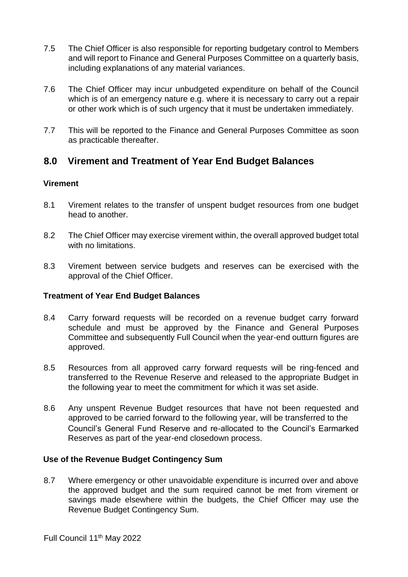- 7.5 The Chief Officer is also responsible for reporting budgetary control to Members and will report to Finance and General Purposes Committee on a quarterly basis, including explanations of any material variances.
- 7.6 The Chief Officer may incur unbudgeted expenditure on behalf of the Council which is of an emergency nature e.g. where it is necessary to carry out a repair or other work which is of such urgency that it must be undertaken immediately.
- 7.7 This will be reported to the Finance and General Purposes Committee as soon as practicable thereafter.

# **8.0 Virement and Treatment of Year End Budget Balances**

#### **Virement**

- 8.1 Virement relates to the transfer of unspent budget resources from one budget head to another.
- 8.2 The Chief Officer may exercise virement within, the overall approved budget total with no limitations.
- 8.3 Virement between service budgets and reserves can be exercised with the approval of the Chief Officer.

#### **Treatment of Year End Budget Balances**

- 8.4 Carry forward requests will be recorded on a revenue budget carry forward schedule and must be approved by the Finance and General Purposes Committee and subsequently Full Council when the year-end outturn figures are approved.
- 8.5 Resources from all approved carry forward requests will be ring-fenced and transferred to the Revenue Reserve and released to the appropriate Budget in the following year to meet the commitment for which it was set aside.
- 8.6 Any unspent Revenue Budget resources that have not been requested and approved to be carried forward to the following year, will be transferred to the Council's General Fund Reserve and re-allocated to the Council's Earmarked Reserves as part of the year-end closedown process.

#### **Use of the Revenue Budget Contingency Sum**

8.7 Where emergency or other unavoidable expenditure is incurred over and above the approved budget and the sum required cannot be met from virement or savings made elsewhere within the budgets, the Chief Officer may use the Revenue Budget Contingency Sum.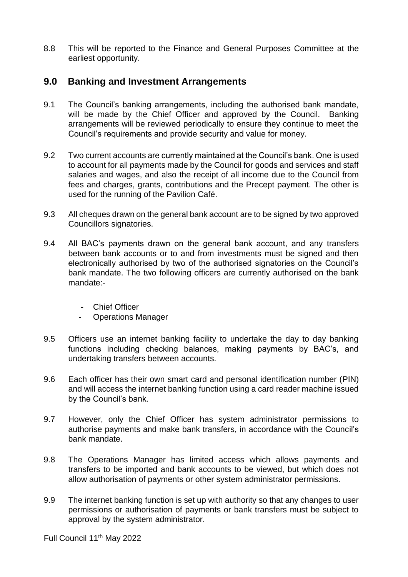8.8 This will be reported to the Finance and General Purposes Committee at the earliest opportunity.

# **9.0 Banking and Investment Arrangements**

- 9.1 The Council's banking arrangements, including the authorised bank mandate, will be made by the Chief Officer and approved by the Council. Banking arrangements will be reviewed periodically to ensure they continue to meet the Council's requirements and provide security and value for money.
- 9.2 Two current accounts are currently maintained at the Council's bank. One is used to account for all payments made by the Council for goods and services and staff salaries and wages, and also the receipt of all income due to the Council from fees and charges, grants, contributions and the Precept payment. The other is used for the running of the Pavilion Café.
- 9.3 All cheques drawn on the general bank account are to be signed by two approved Councillors signatories.
- 9.4 All BAC's payments drawn on the general bank account, and any transfers between bank accounts or to and from investments must be signed and then electronically authorised by two of the authorised signatories on the Council's bank mandate. The two following officers are currently authorised on the bank mandate:-
	- Chief Officer
	- Operations Manager
- 9.5 Officers use an internet banking facility to undertake the day to day banking functions including checking balances, making payments by BAC's, and undertaking transfers between accounts.
- 9.6 Each officer has their own smart card and personal identification number (PIN) and will access the internet banking function using a card reader machine issued by the Council's bank.
- 9.7 However, only the Chief Officer has system administrator permissions to authorise payments and make bank transfers, in accordance with the Council's bank mandate.
- 9.8 The Operations Manager has limited access which allows payments and transfers to be imported and bank accounts to be viewed, but which does not allow authorisation of payments or other system administrator permissions.
- 9.9 The internet banking function is set up with authority so that any changes to user permissions or authorisation of payments or bank transfers must be subject to approval by the system administrator.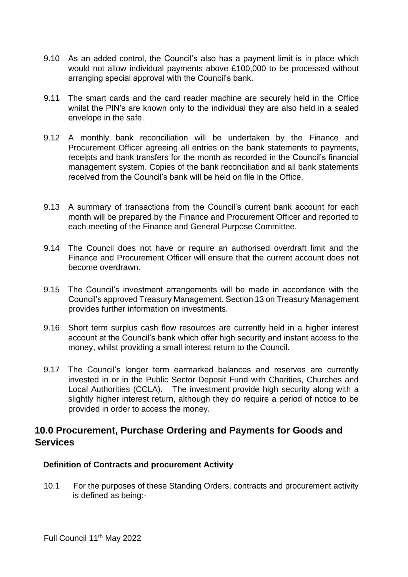- 9.10 As an added control, the Council's also has a payment limit is in place which would not allow individual payments above £100,000 to be processed without arranging special approval with the Council's bank.
- 9.11 The smart cards and the card reader machine are securely held in the Office whilst the PIN's are known only to the individual they are also held in a sealed envelope in the safe.
- 9.12 A monthly bank reconciliation will be undertaken by the Finance and Procurement Officer agreeing all entries on the bank statements to payments, receipts and bank transfers for the month as recorded in the Council's financial management system. Copies of the bank reconciliation and all bank statements received from the Council's bank will be held on file in the Office.
- 9.13 A summary of transactions from the Council's current bank account for each month will be prepared by the Finance and Procurement Officer and reported to each meeting of the Finance and General Purpose Committee.
- 9.14 The Council does not have or require an authorised overdraft limit and the Finance and Procurement Officer will ensure that the current account does not become overdrawn.
- 9.15 The Council's investment arrangements will be made in accordance with the Council's approved Treasury Management. Section 13 on Treasury Management provides further information on investments.
- 9.16 Short term surplus cash flow resources are currently held in a higher interest account at the Council's bank which offer high security and instant access to the money, whilst providing a small interest return to the Council.
- 9.17 The Council's longer term earmarked balances and reserves are currently invested in or in the Public Sector Deposit Fund with Charities, Churches and Local Authorities (CCLA). The investment provide high security along with a slightly higher interest return, although they do require a period of notice to be provided in order to access the money.

# **10.0 Procurement, Purchase Ordering and Payments for Goods and Services**

#### **Definition of Contracts and procurement Activity**

10.1 For the purposes of these Standing Orders, contracts and procurement activity is defined as being:-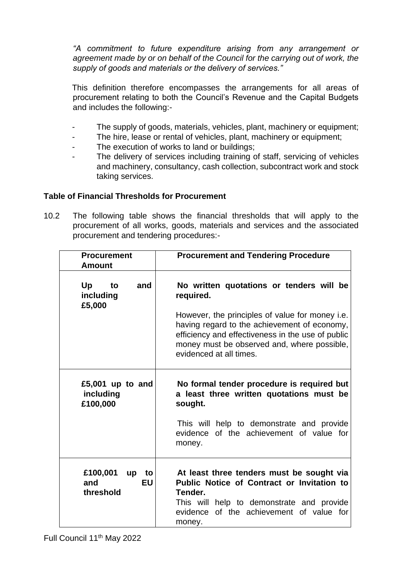*"A commitment to future expenditure arising from any arrangement or agreement made by or on behalf of the Council for the carrying out of work, the supply of goods and materials or the delivery of services."* 

This definition therefore encompasses the arrangements for all areas of procurement relating to both the Council's Revenue and the Capital Budgets and includes the following:-

- The supply of goods, materials, vehicles, plant, machinery or equipment;
- The hire, lease or rental of vehicles, plant, machinery or equipment;
- The execution of works to land or buildings:
- The delivery of services including training of staff, servicing of vehicles and machinery, consultancy, cash collection, subcontract work and stock taking services.

#### **Table of Financial Thresholds for Procurement**

10.2 The following table shows the financial thresholds that will apply to the procurement of all works, goods, materials and services and the associated procurement and tendering procedures:-

| <b>Procurement</b><br><b>Amount</b>            | <b>Procurement and Tendering Procedure</b>                                                                                                                                                                                                                                              |  |
|------------------------------------------------|-----------------------------------------------------------------------------------------------------------------------------------------------------------------------------------------------------------------------------------------------------------------------------------------|--|
| Up<br>to<br>and<br>including<br>£5,000         | No written quotations or tenders will be<br>required.<br>However, the principles of value for money i.e.<br>having regard to the achievement of economy,<br>efficiency and effectiveness in the use of public<br>money must be observed and, where possible,<br>evidenced at all times. |  |
| £5,001 up to and<br>including<br>£100,000      | No formal tender procedure is required but<br>a least three written quotations must be<br>sought.<br>This will help to demonstrate and provide<br>evidence of the achievement of value for<br>money.                                                                                    |  |
| £100,001<br>to<br>up<br>EU<br>and<br>threshold | At least three tenders must be sought via<br>Public Notice of Contract or Invitation to<br>Tender.<br>This will help to demonstrate and provide<br>evidence of the achievement of value for<br>money.                                                                                   |  |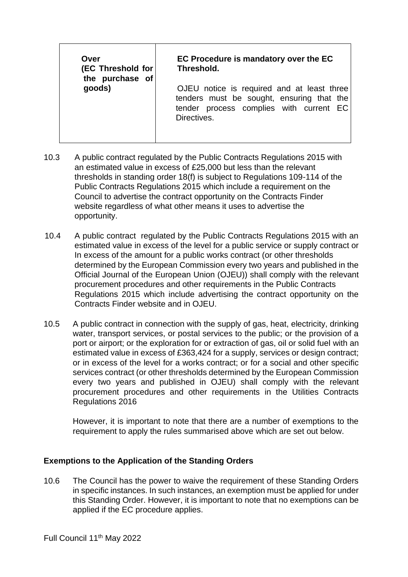| Over<br>(EC Threshold for<br>the purchase of | EC Procedure is mandatory over the EC<br>Threshold.                                                                                               |  |  |
|----------------------------------------------|---------------------------------------------------------------------------------------------------------------------------------------------------|--|--|
| goods)                                       | OJEU notice is required and at least three<br>tenders must be sought, ensuring that the<br>tender process complies with current EC<br>Directives. |  |  |

- 10.3 A public contract regulated by the Public Contracts Regulations 2015 with an estimated value in excess of £25,000 but less than the relevant thresholds in standing order 18(f) is subject to Regulations 109-114 of the Public Contracts Regulations 2015 which include a requirement on the Council to advertise the contract opportunity on the Contracts Finder website regardless of what other means it uses to advertise the opportunity.
- 10.4 A public contract regulated by the Public Contracts Regulations 2015 with an estimated value in excess of the level for a public service or supply contract or In excess of the amount for a public works contract (or other thresholds determined by the European Commission every two years and published in the Official Journal of the European Union (OJEU)) shall comply with the relevant procurement procedures and other requirements in the Public Contracts Regulations 2015 which include advertising the contract opportunity on the Contracts Finder website and in OJEU.
- 10.5 A public contract in connection with the supply of gas, heat, electricity, drinking water, transport services, or postal services to the public; or the provision of a port or airport; or the exploration for or extraction of gas, oil or solid fuel with an estimated value in excess of £363,424 for a supply, services or design contract; or in excess of the level for a works contract; or for a social and other specific services contract (or other thresholds determined by the European Commission every two years and published in OJEU) shall comply with the relevant procurement procedures and other requirements in the Utilities Contracts Regulations 2016

However, it is important to note that there are a number of exemptions to the requirement to apply the rules summarised above which are set out below.

#### **Exemptions to the Application of the Standing Orders**

10.6 The Council has the power to waive the requirement of these Standing Orders in specific instances. In such instances, an exemption must be applied for under this Standing Order. However, it is important to note that no exemptions can be applied if the EC procedure applies.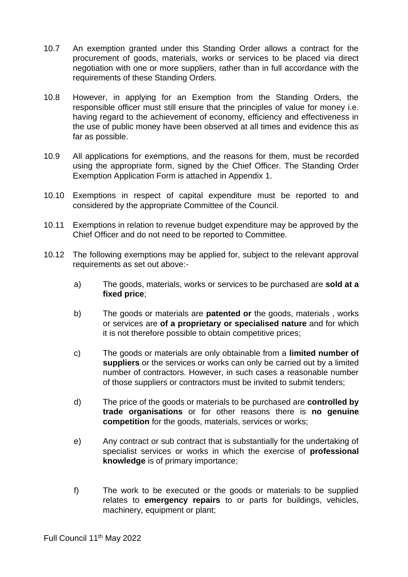- 10.7 An exemption granted under this Standing Order allows a contract for the procurement of goods, materials, works or services to be placed via direct negotiation with one or more suppliers, rather than in full accordance with the requirements of these Standing Orders.
- 10.8 However, in applying for an Exemption from the Standing Orders, the responsible officer must still ensure that the principles of value for money i.e. having regard to the achievement of economy, efficiency and effectiveness in the use of public money have been observed at all times and evidence this as far as possible.
- 10.9 All applications for exemptions, and the reasons for them, must be recorded using the appropriate form, signed by the Chief Officer. The Standing Order Exemption Application Form is attached in Appendix 1.
- 10.10 Exemptions in respect of capital expenditure must be reported to and considered by the appropriate Committee of the Council.
- 10.11 Exemptions in relation to revenue budget expenditure may be approved by the Chief Officer and do not need to be reported to Committee.
- 10.12 The following exemptions may be applied for, subject to the relevant approval requirements as set out above:
	- a) The goods, materials, works or services to be purchased are **sold at a fixed price**;
	- b) The goods or materials are **patented or** the goods, materials , works or services are **of a proprietary or specialised nature** and for which it is not therefore possible to obtain competitive prices;
	- c) The goods or materials are only obtainable from a **limited number of suppliers** or the services or works can only be carried out by a limited number of contractors. However, in such cases a reasonable number of those suppliers or contractors must be invited to submit tenders;
	- d) The price of the goods or materials to be purchased are **controlled by trade organisations** or for other reasons there is **no genuine competition** for the goods, materials, services or works;
	- e) Any contract or sub contract that is substantially for the undertaking of specialist services or works in which the exercise of **professional knowledge** is of primary importance;
	- f) The work to be executed or the goods or materials to be supplied relates to **emergency repairs** to or parts for buildings, vehicles, machinery, equipment or plant;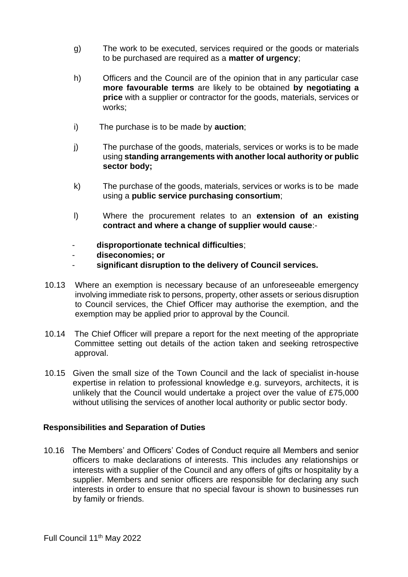- g) The work to be executed, services required or the goods or materials to be purchased are required as a **matter of urgency**;
- h) Officers and the Council are of the opinion that in any particular case **more favourable terms** are likely to be obtained **by negotiating a price** with a supplier or contractor for the goods, materials, services or works;
- i) The purchase is to be made by **auction**;
- j) The purchase of the goods, materials, services or works is to be made using **standing arrangements with another local authority or public sector body;**
- k) The purchase of the goods, materials, services or works is to be made using a **public service purchasing consortium**;
- l) Where the procurement relates to an **extension of an existing contract and where a change of supplier would cause**:-
- **disproportionate technical difficulties**;
- **diseconomies; or**
- **significant disruption to the delivery of Council services.**
- 10.13 Where an exemption is necessary because of an unforeseeable emergency involving immediate risk to persons, property, other assets or serious disruption to Council services, the Chief Officer may authorise the exemption, and the exemption may be applied prior to approval by the Council.
- 10.14 The Chief Officer will prepare a report for the next meeting of the appropriate Committee setting out details of the action taken and seeking retrospective approval.
- 10.15 Given the small size of the Town Council and the lack of specialist in-house expertise in relation to professional knowledge e.g. surveyors, architects, it is unlikely that the Council would undertake a project over the value of £75,000 without utilising the services of another local authority or public sector body.

#### **Responsibilities and Separation of Duties**

10.16 The Members' and Officers' Codes of Conduct require all Members and senior officers to make declarations of interests. This includes any relationships or interests with a supplier of the Council and any offers of gifts or hospitality by a supplier. Members and senior officers are responsible for declaring any such interests in order to ensure that no special favour is shown to businesses run by family or friends.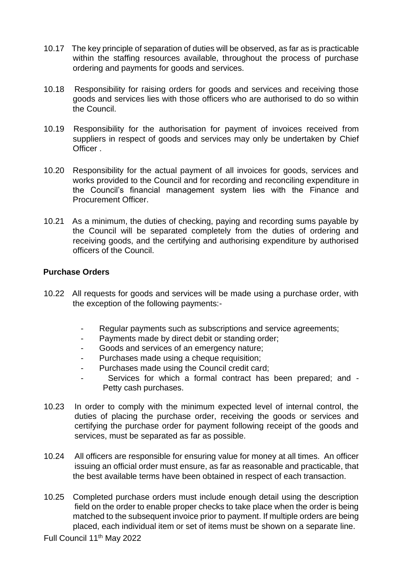- 10.17 The key principle of separation of duties will be observed, as far as is practicable within the staffing resources available, throughout the process of purchase ordering and payments for goods and services.
- 10.18 Responsibility for raising orders for goods and services and receiving those goods and services lies with those officers who are authorised to do so within the Council.
- 10.19 Responsibility for the authorisation for payment of invoices received from suppliers in respect of goods and services may only be undertaken by Chief **Officer**
- 10.20 Responsibility for the actual payment of all invoices for goods, services and works provided to the Council and for recording and reconciling expenditure in the Council's financial management system lies with the Finance and Procurement Officer.
- 10.21 As a minimum, the duties of checking, paying and recording sums payable by the Council will be separated completely from the duties of ordering and receiving goods, and the certifying and authorising expenditure by authorised officers of the Council.

#### **Purchase Orders**

- 10.22 All requests for goods and services will be made using a purchase order, with the exception of the following payments:-
	- Regular payments such as subscriptions and service agreements;
	- Payments made by direct debit or standing order;
	- Goods and services of an emergency nature;
	- Purchases made using a cheque requisition;
	- Purchases made using the Council credit card;
	- Services for which a formal contract has been prepared; and -Petty cash purchases.
- 10.23 In order to comply with the minimum expected level of internal control, the duties of placing the purchase order, receiving the goods or services and certifying the purchase order for payment following receipt of the goods and services, must be separated as far as possible.
- 10.24 All officers are responsible for ensuring value for money at all times. An officer issuing an official order must ensure, as far as reasonable and practicable, that the best available terms have been obtained in respect of each transaction.
- 10.25 Completed purchase orders must include enough detail using the description field on the order to enable proper checks to take place when the order is being matched to the subsequent invoice prior to payment. If multiple orders are being placed, each individual item or set of items must be shown on a separate line.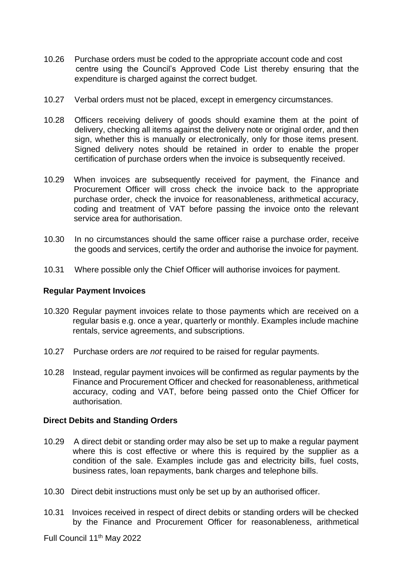- 10.26 Purchase orders must be coded to the appropriate account code and cost centre using the Council's Approved Code List thereby ensuring that the expenditure is charged against the correct budget.
- 10.27 Verbal orders must not be placed, except in emergency circumstances.
- 10.28 Officers receiving delivery of goods should examine them at the point of delivery, checking all items against the delivery note or original order, and then sign, whether this is manually or electronically, only for those items present. Signed delivery notes should be retained in order to enable the proper certification of purchase orders when the invoice is subsequently received.
- 10.29 When invoices are subsequently received for payment, the Finance and Procurement Officer will cross check the invoice back to the appropriate purchase order, check the invoice for reasonableness, arithmetical accuracy, coding and treatment of VAT before passing the invoice onto the relevant service area for authorisation.
- 10.30 In no circumstances should the same officer raise a purchase order, receive the goods and services, certify the order and authorise the invoice for payment.
- 10.31 Where possible only the Chief Officer will authorise invoices for payment.

#### **Regular Payment Invoices**

- 10.320 Regular payment invoices relate to those payments which are received on a regular basis e.g. once a year, quarterly or monthly. Examples include machine rentals, service agreements, and subscriptions.
- 10.27 Purchase orders are *not* required to be raised for regular payments.
- 10.28 Instead, regular payment invoices will be confirmed as regular payments by the Finance and Procurement Officer and checked for reasonableness, arithmetical accuracy, coding and VAT, before being passed onto the Chief Officer for authorisation.

#### **Direct Debits and Standing Orders**

- 10.29 A direct debit or standing order may also be set up to make a regular payment where this is cost effective or where this is required by the supplier as a condition of the sale. Examples include gas and electricity bills, fuel costs, business rates, loan repayments, bank charges and telephone bills.
- 10.30 Direct debit instructions must only be set up by an authorised officer.
- 10.31 Invoices received in respect of direct debits or standing orders will be checked by the Finance and Procurement Officer for reasonableness, arithmetical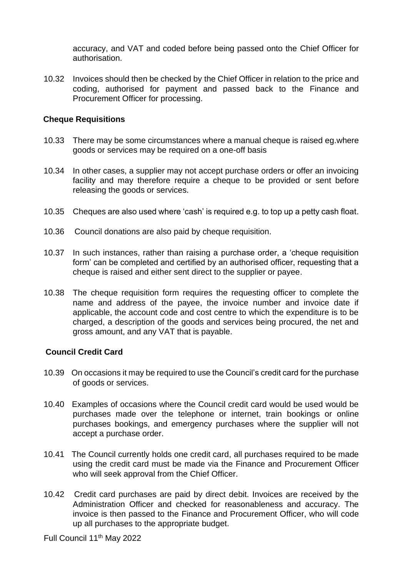accuracy, and VAT and coded before being passed onto the Chief Officer for authorisation.

10.32 Invoices should then be checked by the Chief Officer in relation to the price and coding, authorised for payment and passed back to the Finance and Procurement Officer for processing.

#### **Cheque Requisitions**

- 10.33 There may be some circumstances where a manual cheque is raised eg.where goods or services may be required on a one-off basis
- 10.34 In other cases, a supplier may not accept purchase orders or offer an invoicing facility and may therefore require a cheque to be provided or sent before releasing the goods or services.
- 10.35 Cheques are also used where 'cash' is required e.g. to top up a petty cash float.
- 10.36 Council donations are also paid by cheque requisition.
- 10.37 In such instances, rather than raising a purchase order, a 'cheque requisition form' can be completed and certified by an authorised officer, requesting that a cheque is raised and either sent direct to the supplier or payee.
- 10.38 The cheque requisition form requires the requesting officer to complete the name and address of the payee, the invoice number and invoice date if applicable, the account code and cost centre to which the expenditure is to be charged, a description of the goods and services being procured, the net and gross amount, and any VAT that is payable.

#### **Council Credit Card**

- 10.39 On occasions it may be required to use the Council's credit card for the purchase of goods or services.
- 10.40 Examples of occasions where the Council credit card would be used would be purchases made over the telephone or internet, train bookings or online purchases bookings, and emergency purchases where the supplier will not accept a purchase order.
- 10.41 The Council currently holds one credit card, all purchases required to be made using the credit card must be made via the Finance and Procurement Officer who will seek approval from the Chief Officer.
- 10.42 Credit card purchases are paid by direct debit. Invoices are received by the Administration Officer and checked for reasonableness and accuracy. The invoice is then passed to the Finance and Procurement Officer, who will code up all purchases to the appropriate budget.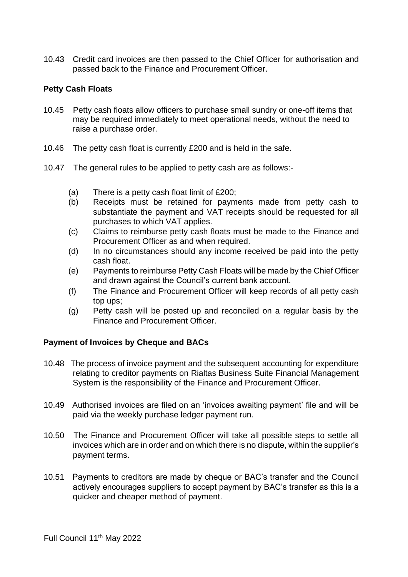10.43 Credit card invoices are then passed to the Chief Officer for authorisation and passed back to the Finance and Procurement Officer.

#### **Petty Cash Floats**

- 10.45 Petty cash floats allow officers to purchase small sundry or one-off items that may be required immediately to meet operational needs, without the need to raise a purchase order.
- 10.46 The petty cash float is currently £200 and is held in the safe.
- 10.47 The general rules to be applied to petty cash are as follows:-
	- (a) There is a petty cash float limit of £200;
	- (b) Receipts must be retained for payments made from petty cash to substantiate the payment and VAT receipts should be requested for all purchases to which VAT applies.
	- (c) Claims to reimburse petty cash floats must be made to the Finance and Procurement Officer as and when required.
	- (d) In no circumstances should any income received be paid into the petty cash float.
	- (e) Payments to reimburse Petty Cash Floats will be made by the Chief Officer and drawn against the Council's current bank account.
	- (f) The Finance and Procurement Officer will keep records of all petty cash top ups;
	- (g) Petty cash will be posted up and reconciled on a regular basis by the Finance and Procurement Officer.

#### **Payment of Invoices by Cheque and BACs**

- 10.48 The process of invoice payment and the subsequent accounting for expenditure relating to creditor payments on Rialtas Business Suite Financial Management System is the responsibility of the Finance and Procurement Officer.
- 10.49 Authorised invoices are filed on an 'invoices awaiting payment' file and will be paid via the weekly purchase ledger payment run.
- 10.50 The Finance and Procurement Officer will take all possible steps to settle all invoices which are in order and on which there is no dispute, within the supplier's payment terms.
- 10.51 Payments to creditors are made by cheque or BAC's transfer and the Council actively encourages suppliers to accept payment by BAC's transfer as this is a quicker and cheaper method of payment.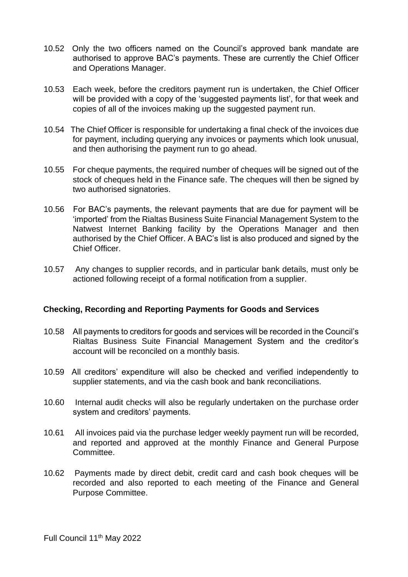- 10.52 Only the two officers named on the Council's approved bank mandate are authorised to approve BAC's payments. These are currently the Chief Officer and Operations Manager.
- 10.53 Each week, before the creditors payment run is undertaken, the Chief Officer will be provided with a copy of the 'suggested payments list', for that week and copies of all of the invoices making up the suggested payment run.
- 10.54 The Chief Officer is responsible for undertaking a final check of the invoices due for payment, including querying any invoices or payments which look unusual, and then authorising the payment run to go ahead.
- 10.55 For cheque payments, the required number of cheques will be signed out of the stock of cheques held in the Finance safe. The cheques will then be signed by two authorised signatories.
- 10.56 For BAC's payments, the relevant payments that are due for payment will be 'imported' from the Rialtas Business Suite Financial Management System to the Natwest Internet Banking facility by the Operations Manager and then authorised by the Chief Officer. A BAC's list is also produced and signed by the Chief Officer.
- 10.57 Any changes to supplier records, and in particular bank details, must only be actioned following receipt of a formal notification from a supplier.

#### **Checking, Recording and Reporting Payments for Goods and Services**

- 10.58 All payments to creditors for goods and services will be recorded in the Council's Rialtas Business Suite Financial Management System and the creditor's account will be reconciled on a monthly basis.
- 10.59 All creditors' expenditure will also be checked and verified independently to supplier statements, and via the cash book and bank reconciliations.
- 10.60 Internal audit checks will also be regularly undertaken on the purchase order system and creditors' payments.
- 10.61 All invoices paid via the purchase ledger weekly payment run will be recorded, and reported and approved at the monthly Finance and General Purpose Committee.
- 10.62 Payments made by direct debit, credit card and cash book cheques will be recorded and also reported to each meeting of the Finance and General Purpose Committee.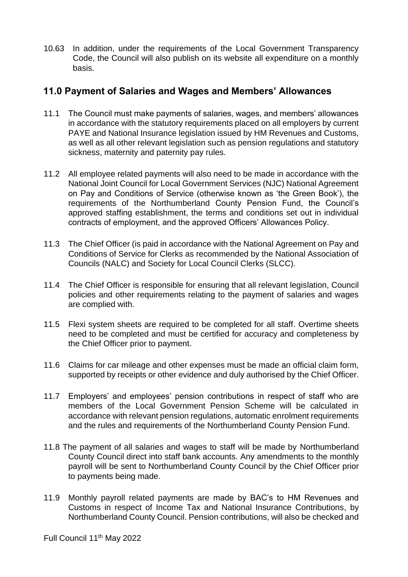10.63 In addition, under the requirements of the Local Government Transparency Code, the Council will also publish on its website all expenditure on a monthly basis.

# **11.0 Payment of Salaries and Wages and Members' Allowances**

- 11.1 The Council must make payments of salaries, wages, and members' allowances in accordance with the statutory requirements placed on all employers by current PAYE and National Insurance legislation issued by HM Revenues and Customs, as well as all other relevant legislation such as pension regulations and statutory sickness, maternity and paternity pay rules.
- 11.2 All employee related payments will also need to be made in accordance with the National Joint Council for Local Government Services (NJC) National Agreement on Pay and Conditions of Service (otherwise known as 'the Green Book'), the requirements of the Northumberland County Pension Fund, the Council's approved staffing establishment, the terms and conditions set out in individual contracts of employment, and the approved Officers' Allowances Policy.
- 11.3 The Chief Officer (is paid in accordance with the National Agreement on Pay and Conditions of Service for Clerks as recommended by the National Association of Councils (NALC) and Society for Local Council Clerks (SLCC).
- 11.4 The Chief Officer is responsible for ensuring that all relevant legislation, Council policies and other requirements relating to the payment of salaries and wages are complied with.
- 11.5 Flexi system sheets are required to be completed for all staff. Overtime sheets need to be completed and must be certified for accuracy and completeness by the Chief Officer prior to payment.
- 11.6 Claims for car mileage and other expenses must be made an official claim form, supported by receipts or other evidence and duly authorised by the Chief Officer.
- 11.7 Employers' and employees' pension contributions in respect of staff who are members of the Local Government Pension Scheme will be calculated in accordance with relevant pension regulations, automatic enrolment requirements and the rules and requirements of the Northumberland County Pension Fund.
- 11.8 The payment of all salaries and wages to staff will be made by Northumberland County Council direct into staff bank accounts. Any amendments to the monthly payroll will be sent to Northumberland County Council by the Chief Officer prior to payments being made.
- 11.9 Monthly payroll related payments are made by BAC's to HM Revenues and Customs in respect of Income Tax and National Insurance Contributions, by Northumberland County Council. Pension contributions, will also be checked and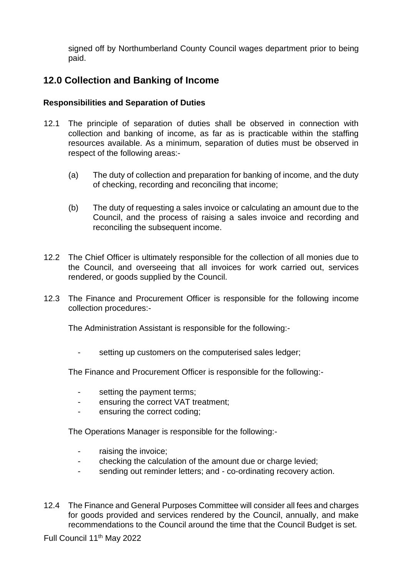signed off by Northumberland County Council wages department prior to being paid.

# **12.0 Collection and Banking of Income**

#### **Responsibilities and Separation of Duties**

- 12.1 The principle of separation of duties shall be observed in connection with collection and banking of income, as far as is practicable within the staffing resources available. As a minimum, separation of duties must be observed in respect of the following areas:-
	- (a) The duty of collection and preparation for banking of income, and the duty of checking, recording and reconciling that income;
	- (b) The duty of requesting a sales invoice or calculating an amount due to the Council, and the process of raising a sales invoice and recording and reconciling the subsequent income.
- 12.2 The Chief Officer is ultimately responsible for the collection of all monies due to the Council, and overseeing that all invoices for work carried out, services rendered, or goods supplied by the Council.
- 12.3 The Finance and Procurement Officer is responsible for the following income collection procedures:-

The Administration Assistant is responsible for the following:-

setting up customers on the computerised sales ledger;

The Finance and Procurement Officer is responsible for the following:-

- setting the payment terms;
- ensuring the correct VAT treatment;
- ensuring the correct coding;

The Operations Manager is responsible for the following:-

- raising the invoice;
- checking the calculation of the amount due or charge levied;
- sending out reminder letters; and co-ordinating recovery action.
- 12.4 The Finance and General Purposes Committee will consider all fees and charges for goods provided and services rendered by the Council, annually, and make recommendations to the Council around the time that the Council Budget is set.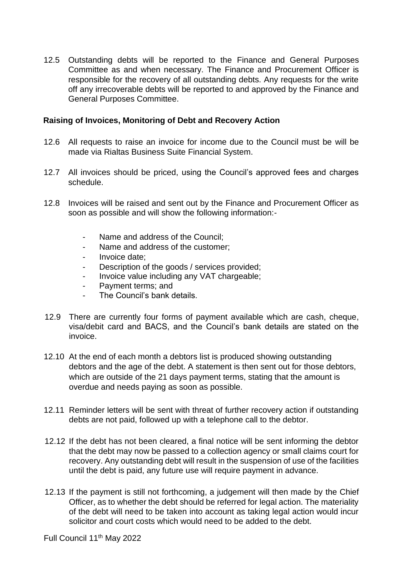12.5 Outstanding debts will be reported to the Finance and General Purposes Committee as and when necessary. The Finance and Procurement Officer is responsible for the recovery of all outstanding debts. Any requests for the write off any irrecoverable debts will be reported to and approved by the Finance and General Purposes Committee.

#### **Raising of Invoices, Monitoring of Debt and Recovery Action**

- 12.6 All requests to raise an invoice for income due to the Council must be will be made via Rialtas Business Suite Financial System.
- 12.7 All invoices should be priced, using the Council's approved fees and charges schedule.
- 12.8 Invoices will be raised and sent out by the Finance and Procurement Officer as soon as possible and will show the following information:-
	- Name and address of the Council:
	- Name and address of the customer;
	- Invoice date:
	- Description of the goods / services provided;
	- Invoice value including any VAT chargeable;
	- Payment terms; and
	- The Council's bank details.
- 12.9 There are currently four forms of payment available which are cash, cheque, visa/debit card and BACS, and the Council's bank details are stated on the invoice.
- 12.10 At the end of each month a debtors list is produced showing outstanding debtors and the age of the debt. A statement is then sent out for those debtors, which are outside of the 21 days payment terms, stating that the amount is overdue and needs paying as soon as possible.
- 12.11 Reminder letters will be sent with threat of further recovery action if outstanding debts are not paid, followed up with a telephone call to the debtor.
- 12.12 If the debt has not been cleared, a final notice will be sent informing the debtor that the debt may now be passed to a collection agency or small claims court for recovery. Any outstanding debt will result in the suspension of use of the facilities until the debt is paid, any future use will require payment in advance.
- 12.13 If the payment is still not forthcoming, a judgement will then made by the Chief Officer, as to whether the debt should be referred for legal action. The materiality of the debt will need to be taken into account as taking legal action would incur solicitor and court costs which would need to be added to the debt.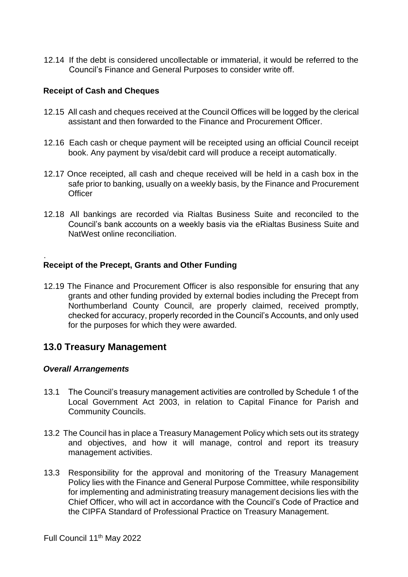12.14 If the debt is considered uncollectable or immaterial, it would be referred to the Council's Finance and General Purposes to consider write off.

#### **Receipt of Cash and Cheques**

- 12.15 All cash and cheques received at the Council Offices will be logged by the clerical assistant and then forwarded to the Finance and Procurement Officer.
- 12.16 Each cash or cheque payment will be receipted using an official Council receipt book. Any payment by visa/debit card will produce a receipt automatically.
- 12.17 Once receipted, all cash and cheque received will be held in a cash box in the safe prior to banking, usually on a weekly basis, by the Finance and Procurement **Officer**
- 12.18 All bankings are recorded via Rialtas Business Suite and reconciled to the Council's bank accounts on a weekly basis via the eRialtas Business Suite and NatWest online reconciliation.

#### **Receipt of the Precept, Grants and Other Funding**

12.19 The Finance and Procurement Officer is also responsible for ensuring that any grants and other funding provided by external bodies including the Precept from Northumberland County Council, are properly claimed, received promptly, checked for accuracy, properly recorded in the Council's Accounts, and only used for the purposes for which they were awarded.

#### **13.0 Treasury Management**

#### *Overall Arrangements*

.

- 13.1 The Council's treasury management activities are controlled by Schedule 1 of the Local Government Act 2003, in relation to Capital Finance for Parish and Community Councils.
- 13.2 The Council has in place a Treasury Management Policy which sets out its strategy and objectives, and how it will manage, control and report its treasury management activities.
- 13.3 Responsibility for the approval and monitoring of the Treasury Management Policy lies with the Finance and General Purpose Committee, while responsibility for implementing and administrating treasury management decisions lies with the Chief Officer, who will act in accordance with the Council's Code of Practice and the CIPFA Standard of Professional Practice on Treasury Management.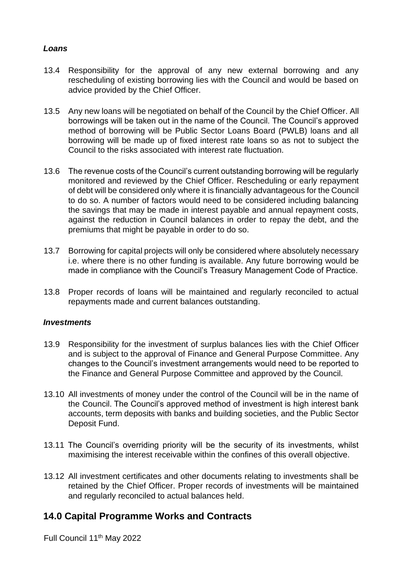#### *Loans*

- 13.4 Responsibility for the approval of any new external borrowing and any rescheduling of existing borrowing lies with the Council and would be based on advice provided by the Chief Officer.
- 13.5 Any new loans will be negotiated on behalf of the Council by the Chief Officer. All borrowings will be taken out in the name of the Council. The Council's approved method of borrowing will be Public Sector Loans Board (PWLB) loans and all borrowing will be made up of fixed interest rate loans so as not to subject the Council to the risks associated with interest rate fluctuation.
- 13.6 The revenue costs of the Council's current outstanding borrowing will be regularly monitored and reviewed by the Chief Officer. Rescheduling or early repayment of debt will be considered only where it is financially advantageous for the Council to do so. A number of factors would need to be considered including balancing the savings that may be made in interest payable and annual repayment costs, against the reduction in Council balances in order to repay the debt, and the premiums that might be payable in order to do so.
- 13.7 Borrowing for capital projects will only be considered where absolutely necessary i.e. where there is no other funding is available. Any future borrowing would be made in compliance with the Council's Treasury Management Code of Practice.
- 13.8 Proper records of loans will be maintained and regularly reconciled to actual repayments made and current balances outstanding.

#### *Investments*

- 13.9 Responsibility for the investment of surplus balances lies with the Chief Officer and is subject to the approval of Finance and General Purpose Committee. Any changes to the Council's investment arrangements would need to be reported to the Finance and General Purpose Committee and approved by the Council.
- 13.10 All investments of money under the control of the Council will be in the name of the Council. The Council's approved method of investment is high interest bank accounts, term deposits with banks and building societies, and the Public Sector Deposit Fund.
- 13.11 The Council's overriding priority will be the security of its investments, whilst maximising the interest receivable within the confines of this overall objective.
- 13.12 All investment certificates and other documents relating to investments shall be retained by the Chief Officer. Proper records of investments will be maintained and regularly reconciled to actual balances held.

# **14.0 Capital Programme Works and Contracts**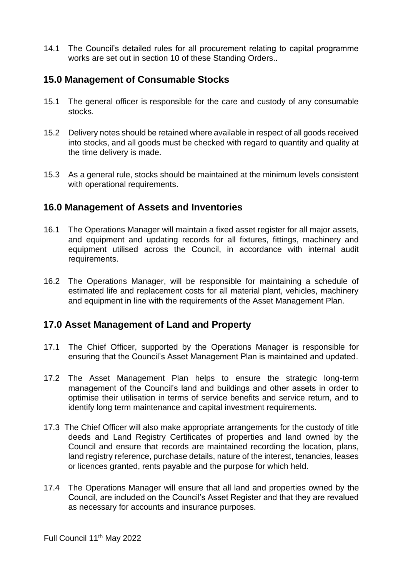14.1 The Council's detailed rules for all procurement relating to capital programme works are set out in section 10 of these Standing Orders..

# **15.0 Management of Consumable Stocks**

- 15.1 The general officer is responsible for the care and custody of any consumable stocks.
- 15.2 Delivery notes should be retained where available in respect of all goods received into stocks, and all goods must be checked with regard to quantity and quality at the time delivery is made.
- 15.3 As a general rule, stocks should be maintained at the minimum levels consistent with operational requirements.

# **16.0 Management of Assets and Inventories**

- 16.1 The Operations Manager will maintain a fixed asset register for all major assets, and equipment and updating records for all fixtures, fittings, machinery and equipment utilised across the Council, in accordance with internal audit requirements.
- 16.2 The Operations Manager, will be responsible for maintaining a schedule of estimated life and replacement costs for all material plant, vehicles, machinery and equipment in line with the requirements of the Asset Management Plan.

# **17.0 Asset Management of Land and Property**

- 17.1 The Chief Officer, supported by the Operations Manager is responsible for ensuring that the Council's Asset Management Plan is maintained and updated.
- 17.2 The Asset Management Plan helps to ensure the strategic long-term management of the Council's land and buildings and other assets in order to optimise their utilisation in terms of service benefits and service return, and to identify long term maintenance and capital investment requirements.
- 17.3 The Chief Officer will also make appropriate arrangements for the custody of title deeds and Land Registry Certificates of properties and land owned by the Council and ensure that records are maintained recording the location, plans, land registry reference, purchase details, nature of the interest, tenancies, leases or licences granted, rents payable and the purpose for which held.
- 17.4 The Operations Manager will ensure that all land and properties owned by the Council, are included on the Council's Asset Register and that they are revalued as necessary for accounts and insurance purposes.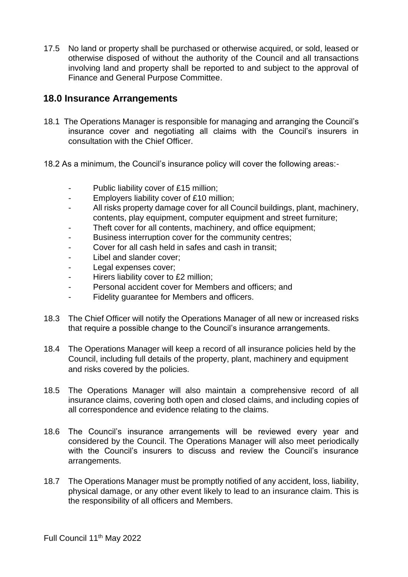17.5 No land or property shall be purchased or otherwise acquired, or sold, leased or otherwise disposed of without the authority of the Council and all transactions involving land and property shall be reported to and subject to the approval of Finance and General Purpose Committee.

# **18.0 Insurance Arrangements**

- 18.1 The Operations Manager is responsible for managing and arranging the Council's insurance cover and negotiating all claims with the Council's insurers in consultation with the Chief Officer.
- 18.2 As a minimum, the Council's insurance policy will cover the following areas:-
	- Public liability cover of £15 million;
	- Employers liability cover of £10 million;
	- All risks property damage cover for all Council buildings, plant, machinery, contents, play equipment, computer equipment and street furniture;
	- Theft cover for all contents, machinery, and office equipment;
	- Business interruption cover for the community centres;
	- Cover for all cash held in safes and cash in transit:
	- Libel and slander cover;
	- Legal expenses cover;
	- Hirers liability cover to £2 million;
	- Personal accident cover for Members and officers; and
	- Fidelity guarantee for Members and officers.
- 18.3 The Chief Officer will notify the Operations Manager of all new or increased risks that require a possible change to the Council's insurance arrangements.
- 18.4 The Operations Manager will keep a record of all insurance policies held by the Council, including full details of the property, plant, machinery and equipment and risks covered by the policies.
- 18.5 The Operations Manager will also maintain a comprehensive record of all insurance claims, covering both open and closed claims, and including copies of all correspondence and evidence relating to the claims.
- 18.6 The Council's insurance arrangements will be reviewed every year and considered by the Council. The Operations Manager will also meet periodically with the Council's insurers to discuss and review the Council's insurance arrangements.
- 18.7 The Operations Manager must be promptly notified of any accident, loss, liability, physical damage, or any other event likely to lead to an insurance claim. This is the responsibility of all officers and Members.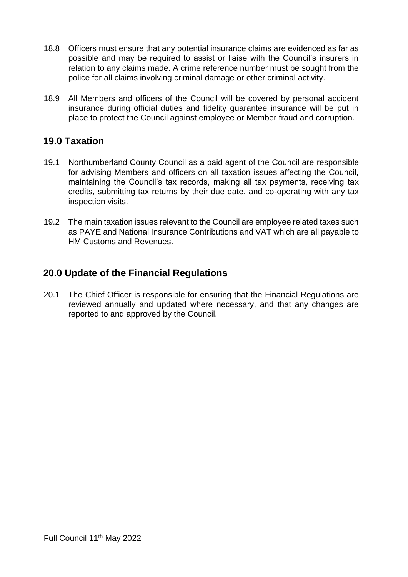- 18.8 Officers must ensure that any potential insurance claims are evidenced as far as possible and may be required to assist or liaise with the Council's insurers in relation to any claims made. A crime reference number must be sought from the police for all claims involving criminal damage or other criminal activity.
- 18.9 All Members and officers of the Council will be covered by personal accident insurance during official duties and fidelity guarantee insurance will be put in place to protect the Council against employee or Member fraud and corruption.

# **19.0 Taxation**

- 19.1 Northumberland County Council as a paid agent of the Council are responsible for advising Members and officers on all taxation issues affecting the Council, maintaining the Council's tax records, making all tax payments, receiving tax credits, submitting tax returns by their due date, and co-operating with any tax inspection visits.
- 19.2 The main taxation issues relevant to the Council are employee related taxes such as PAYE and National Insurance Contributions and VAT which are all payable to HM Customs and Revenues.

# **20.0 Update of the Financial Regulations**

20.1 The Chief Officer is responsible for ensuring that the Financial Regulations are reviewed annually and updated where necessary, and that any changes are reported to and approved by the Council.